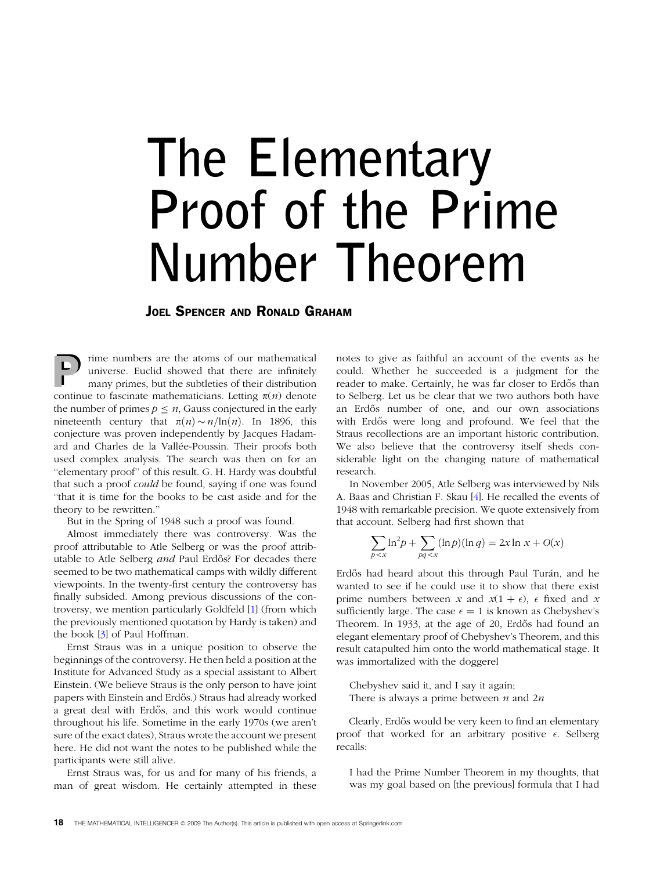# The Elementary Proof of the Prime Number Theorem

# JOEL SPENCER AND RONALD GRAHAM

**P** rime numbers are the atoms of our mathematical universe. Euclid showed that there are infinitely many primes, but the subtleties of their distribution continue to fascinate mathematicians. Letting  $\pi(n)$  denote the number of primes  $p \le n$ , Gauss conjectured in the early nineteenth century that  $\pi(n) \sim n/\ln(n)$ . In 1896, this conjecture was proven independently by Jacques Hadamard and Charles de la Vallée-Poussin. Their proofs both used complex analysis. The search was then on for an ''elementary proof'' of this result. G. H. Hardy was doubtful that such a proof could be found, saying if one was found ''that it is time for the books to be cast aside and for the theory to be rewritten.''

But in the Spring of 1948 such a proof was found.

Almost immediately there was controversy. Was the proof attributable to Atle Selberg or was the proof attributable to Atle Selberg *and* Paul Erdős? For decades there seemed to be two mathematical camps with wildly different viewpoints. In the twenty-first century the controversy has finally subsided. Among previous discussions of the controversy, we mention particularly Goldfeld [[1](#page-5-0)] (from which the previously mentioned quotation by Hardy is taken) and the book [\[3](#page-5-0)] of Paul Hoffman.

Ernst Straus was in a unique position to observe the beginnings of the controversy. He then held a position at the Institute for Advanced Study as a special assistant to Albert Einstein. (We believe Straus is the only person to have joint papers with Einstein and Erdős.) Straus had already worked a great deal with Erdős, and this work would continue throughout his life. Sometime in the early 1970s (we aren't sure of the exact dates), Straus wrote the account we present here. He did not want the notes to be published while the participants were still alive.

Ernst Straus was, for us and for many of his friends, a man of great wisdom. He certainly attempted in these

notes to give as faithful an account of the events as he could. Whether he succeeded is a judgment for the reader to make. Certainly, he was far closer to Erdős than to Selberg. Let us be clear that we two authors both have an Erdős number of one, and our own associations with Erdős were long and profound. We feel that the Straus recollections are an important historic contribution. We also believe that the controversy itself sheds considerable light on the changing nature of mathematical research.

In November 2005, Atle Selberg was interviewed by Nils A. Baas and Christian F. Skau [[4](#page-5-0)]. He recalled the events of 1948 with remarkable precision. We quote extensively from that account. Selberg had first shown that

$$
\sum_{p < x} \ln^2 p + \sum_{pq < x} (\ln p)(\ln q) = 2x \ln x + O(x)
$$

Erdős had heard about this through Paul Turán, and he wanted to see if he could use it to show that there exist prime numbers between x and  $x(1 + \epsilon)$ ,  $\epsilon$  fixed and x sufficiently large. The case  $\epsilon = 1$  is known as Chebyshev's Theorem. In 1933, at the age of 20, Erdős had found an elegant elementary proof of Chebyshev's Theorem, and this result catapulted him onto the world mathematical stage. It was immortalized with the doggerel

Chebyshev said it, and I say it again; There is always a prime between  $n$  and  $2n$ 

Clearly, Erdős would be very keen to find an elementary proof that worked for an arbitrary positive  $\epsilon$ . Selberg recalls:

I had the Prime Number Theorem in my thoughts, that was my goal based on [the previous] formula that I had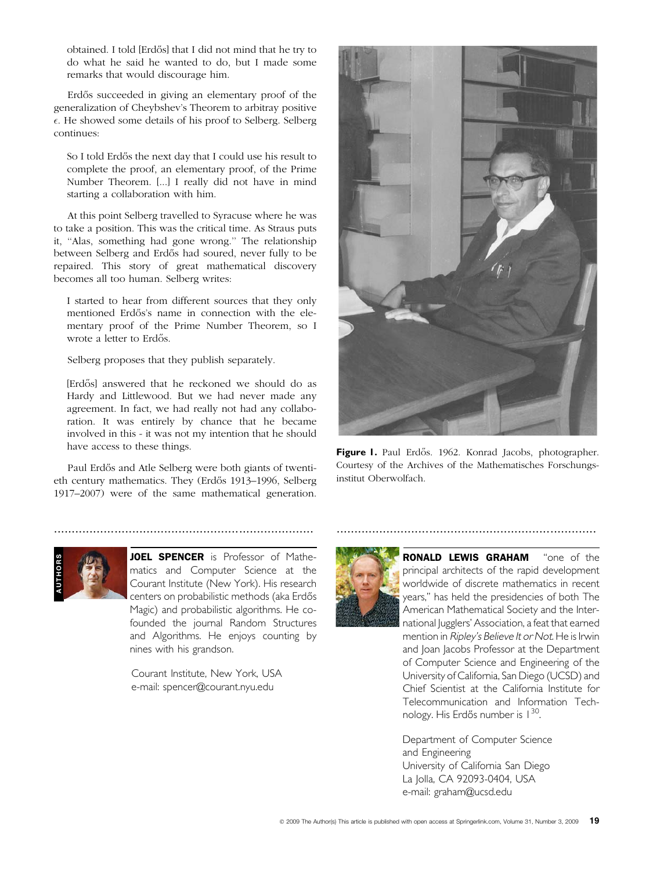obtained. I told [Erdős] that I did not mind that he try to do what he said he wanted to do, but I made some remarks that would discourage him.

Erdős succeeded in giving an elementary proof of the generalization of Cheybshev's Theorem to arbitray positive  $\epsilon$ . He showed some details of his proof to Selberg. Selberg continues:

So I told Erdős the next day that I could use his result to complete the proof, an elementary proof, of the Prime Number Theorem. [...] I really did not have in mind starting a collaboration with him.

At this point Selberg travelled to Syracuse where he was to take a position. This was the critical time. As Straus puts it, ''Alas, something had gone wrong.'' The relationship between Selberg and Erdős had soured, never fully to be repaired. This story of great mathematical discovery becomes all too human. Selberg writes:

I started to hear from different sources that they only mentioned Erdős's name in connection with the elementary proof of the Prime Number Theorem, so I wrote a letter to Erdős.

Selberg proposes that they publish separately.

[Erdős] answered that he reckoned we should do as Hardy and Littlewood. But we had never made any agreement. In fact, we had really not had any collaboration. It was entirely by chance that he became involved in this - it was not my intention that he should have access to these things.

Paul Erdős and Atle Selberg were both giants of twentieth century mathematics. They (Erdős 1913–1996, Selberg 1917–2007) were of the same mathematical generation.

.........................................................................



Figure I. Paul Erdős. 1962. Konrad Jacobs, photographer. Courtesy of the Archives of the Mathematisches Forschungsinstitut Oberwolfach.

.........................................................................



JOEL SPENCER is Professor of Mathematics and Computer Science at the Courant Institute (New York). His research centers on probabilistic methods (aka Erdős Magic) and probabilistic algorithms. He cofounded the journal Random Structures and Algorithms. He enjoys counting by nines with his grandson.

Courant Institute, New York, USA e-mail: spencer@courant.nyu.edu



RONALD LEWIS GRAHAM ''one of the principal architects of the rapid development worldwide of discrete mathematics in recent years,'' has held the presidencies of both The American Mathematical Society and the International Jugglers' Association, a feat that earned mention in Ripley's Believe It or Not. He is Irwin and Joan Jacobs Professor at the Department of Computer Science and Engineering of the University of California, San Diego (UCSD) and Chief Scientist at the California Institute for Telecommunication and Information Tech-

Department of Computer Science and Engineering University of California San Diego La Jolla, CA 92093-0404, USA e-mail: graham@ucsd.edu

nology. His Erdős number is  $1^{30}$ .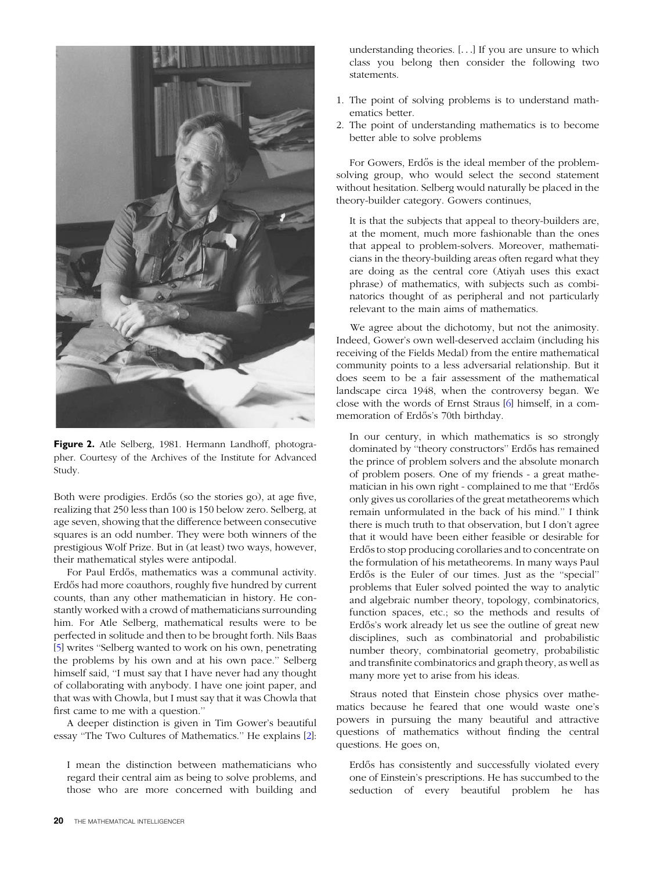

Figure 2. Atle Selberg, 1981. Hermann Landhoff, photographer. Courtesy of the Archives of the Institute for Advanced Study.

Both were prodigies. Erdős (so the stories go), at age five, realizing that 250 less than 100 is 150 below zero. Selberg, at age seven, showing that the difference between consecutive squares is an odd number. They were both winners of the prestigious Wolf Prize. But in (at least) two ways, however, their mathematical styles were antipodal.

For Paul Erdős, mathematics was a communal activity. Erdős had more coauthors, roughly five hundred by current counts, than any other mathematician in history. He constantly worked with a crowd of mathematicians surrounding him. For Atle Selberg, mathematical results were to be perfected in solitude and then to be brought forth. Nils Baas [\[5\]](#page-5-0) writes ''Selberg wanted to work on his own, penetrating the problems by his own and at his own pace.'' Selberg himself said, ''I must say that I have never had any thought of collaborating with anybody. I have one joint paper, and that was with Chowla, but I must say that it was Chowla that first came to me with a question.''

A deeper distinction is given in Tim Gower's beautiful essay ''The Two Cultures of Mathematics.'' He explains [[2](#page-5-0)]:

I mean the distinction between mathematicians who regard their central aim as being to solve problems, and those who are more concerned with building and

understanding theories. [...] If you are unsure to which class you belong then consider the following two statements.

- 1. The point of solving problems is to understand mathematics better.
- 2. The point of understanding mathematics is to become better able to solve problems

For Gowers, Erdős is the ideal member of the problemsolving group, who would select the second statement without hesitation. Selberg would naturally be placed in the theory-builder category. Gowers continues,

It is that the subjects that appeal to theory-builders are, at the moment, much more fashionable than the ones that appeal to problem-solvers. Moreover, mathematicians in the theory-building areas often regard what they are doing as the central core (Atiyah uses this exact phrase) of mathematics, with subjects such as combinatorics thought of as peripheral and not particularly relevant to the main aims of mathematics.

We agree about the dichotomy, but not the animosity. Indeed, Gower's own well-deserved acclaim (including his receiving of the Fields Medal) from the entire mathematical community points to a less adversarial relationship. But it does seem to be a fair assessment of the mathematical landscape circa 1948, when the controversy began. We close with the words of Ernst Straus [\[6\]](#page-5-0) himself, in a commemoration of Erdős's 70th birthday.

In our century, in which mathematics is so strongly dominated by "theory constructors" Erdős has remained the prince of problem solvers and the absolute monarch of problem posers. One of my friends - a great mathematician in his own right - complained to me that "Erdős" only gives us corollaries of the great metatheorems which remain unformulated in the back of his mind.'' I think there is much truth to that observation, but I don't agree that it would have been either feasible or desirable for Erdős to stop producing corollaries and to concentrate on the formulation of his metatheorems. In many ways Paul Erdős is the Euler of our times. Just as the "special" problems that Euler solved pointed the way to analytic and algebraic number theory, topology, combinatorics, function spaces, etc.; so the methods and results of Erdős's work already let us see the outline of great new disciplines, such as combinatorial and probabilistic number theory, combinatorial geometry, probabilistic and transfinite combinatorics and graph theory, as well as many more yet to arise from his ideas.

Straus noted that Einstein chose physics over mathematics because he feared that one would waste one's powers in pursuing the many beautiful and attractive questions of mathematics without finding the central questions. He goes on,

Erdős has consistently and successfully violated every one of Einstein's prescriptions. He has succumbed to the seduction of every beautiful problem he has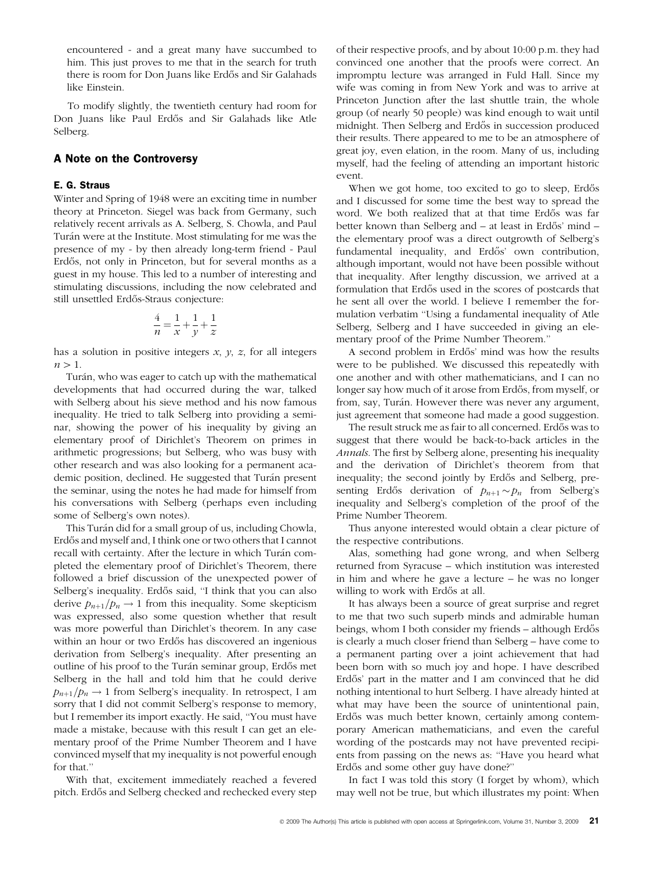encountered - and a great many have succumbed to him. This just proves to me that in the search for truth there is room for Don Juans like Erdős and Sir Galahads like Einstein.

To modify slightly, the twentieth century had room for Don Juans like Paul Erdős and Sir Galahads like Atle Selberg.

## A Note on the Controversy

### E. G. Straus

Winter and Spring of 1948 were an exciting time in number theory at Princeton. Siegel was back from Germany, such relatively recent arrivals as A. Selberg, S. Chowla, and Paul Turán were at the Institute. Most stimulating for me was the presence of my - by then already long-term friend - Paul Erdős, not only in Princeton, but for several months as a guest in my house. This led to a number of interesting and stimulating discussions, including the now celebrated and still unsettled Erdős-Straus conjecture:

$$
\frac{4}{n} = \frac{1}{x} + \frac{1}{y} + \frac{1}{z}
$$

has a solution in positive integers  $x$ ,  $y$ ,  $z$ , for all integers  $n>1$ .

Turán, who was eager to catch up with the mathematical developments that had occurred during the war, talked with Selberg about his sieve method and his now famous inequality. He tried to talk Selberg into providing a seminar, showing the power of his inequality by giving an elementary proof of Dirichlet's Theorem on primes in arithmetic progressions; but Selberg, who was busy with other research and was also looking for a permanent academic position, declined. He suggested that Turán present the seminar, using the notes he had made for himself from his conversations with Selberg (perhaps even including some of Selberg's own notes).

This Turán did for a small group of us, including Chowla, Erdős and myself and, I think one or two others that I cannot recall with certainty. After the lecture in which Turán completed the elementary proof of Dirichlet's Theorem, there followed a brief discussion of the unexpected power of Selberg's inequality. Erdős said, "I think that you can also derive  $p_{n+1}/p_n \rightarrow 1$  from this inequality. Some skepticism was expressed, also some question whether that result was more powerful than Dirichlet's theorem. In any case within an hour or two Erdős has discovered an ingenious derivation from Selberg's inequality. After presenting an outline of his proof to the Turán seminar group, Erdős met Selberg in the hall and told him that he could derive  $p_{n+1}/p_n \rightarrow 1$  from Selberg's inequality. In retrospect, I am sorry that I did not commit Selberg's response to memory, but I remember its import exactly. He said, ''You must have made a mistake, because with this result I can get an elementary proof of the Prime Number Theorem and I have convinced myself that my inequality is not powerful enough for that.''

With that, excitement immediately reached a fevered pitch. Erdős and Selberg checked and rechecked every step of their respective proofs, and by about 10:00 p.m. they had convinced one another that the proofs were correct. An impromptu lecture was arranged in Fuld Hall. Since my wife was coming in from New York and was to arrive at Princeton Junction after the last shuttle train, the whole group (of nearly 50 people) was kind enough to wait until midnight. Then Selberg and Erdős in succession produced their results. There appeared to me to be an atmosphere of great joy, even elation, in the room. Many of us, including myself, had the feeling of attending an important historic event.

When we got home, too excited to go to sleep, Erdős and I discussed for some time the best way to spread the word. We both realized that at that time Erdős was far better known than Selberg and – at least in Erdős' mind – the elementary proof was a direct outgrowth of Selberg's fundamental inequality, and Erdős' own contribution, although important, would not have been possible without that inequality. After lengthy discussion, we arrived at a formulation that Erdős used in the scores of postcards that he sent all over the world. I believe I remember the formulation verbatim ''Using a fundamental inequality of Atle Selberg, Selberg and I have succeeded in giving an elementary proof of the Prime Number Theorem.''

A second problem in Erdős' mind was how the results were to be published. We discussed this repeatedly with one another and with other mathematicians, and I can no longer say how much of it arose from Erdős, from myself, or from, say, Turán. However there was never any argument, just agreement that someone had made a good suggestion.

The result struck me as fair to all concerned. Erdős was to suggest that there would be back-to-back articles in the Annals. The first by Selberg alone, presenting his inequality and the derivation of Dirichlet's theorem from that inequality; the second jointly by Erdős and Selberg, presenting Erdős derivation of  $p_{n+1} \sim p_n$  from Selberg's inequality and Selberg's completion of the proof of the Prime Number Theorem.

Thus anyone interested would obtain a clear picture of the respective contributions.

Alas, something had gone wrong, and when Selberg returned from Syracuse – which institution was interested in him and where he gave a lecture – he was no longer willing to work with Erdős at all.

It has always been a source of great surprise and regret to me that two such superb minds and admirable human beings, whom I both consider my friends – although Erdős is clearly a much closer friend than Selberg – have come to a permanent parting over a joint achievement that had been born with so much joy and hope. I have described Erdős' part in the matter and I am convinced that he did nothing intentional to hurt Selberg. I have already hinted at what may have been the source of unintentional pain, Erdős was much better known, certainly among contemporary American mathematicians, and even the careful wording of the postcards may not have prevented recipients from passing on the news as: ''Have you heard what Erdős and some other guy have done?"

In fact I was told this story (I forget by whom), which may well not be true, but which illustrates my point: When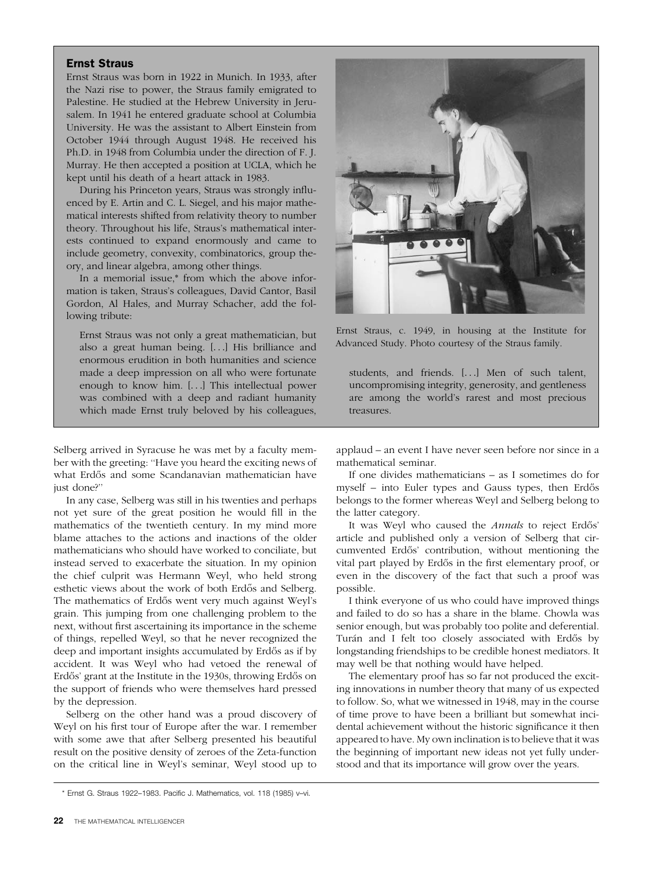## Ernst Straus

Ernst Straus was born in 1922 in Munich. In 1933, after the Nazi rise to power, the Straus family emigrated to Palestine. He studied at the Hebrew University in Jerusalem. In 1941 he entered graduate school at Columbia University. He was the assistant to Albert Einstein from October 1944 through August 1948. He received his Ph.D. in 1948 from Columbia under the direction of F. J. Murray. He then accepted a position at UCLA, which he kept until his death of a heart attack in 1983.

During his Princeton years, Straus was strongly influenced by E. Artin and C. L. Siegel, and his major mathematical interests shifted from relativity theory to number theory. Throughout his life, Straus's mathematical interests continued to expand enormously and came to include geometry, convexity, combinatorics, group theory, and linear algebra, among other things.

In a memorial issue,\* from which the above information is taken, Straus's colleagues, David Cantor, Basil Gordon, Al Hales, and Murray Schacher, add the following tribute:

Ernst Straus was not only a great mathematician, but also a great human being. [...] His brilliance and enormous erudition in both humanities and science made a deep impression on all who were fortunate enough to know him. [...] This intellectual power was combined with a deep and radiant humanity which made Ernst truly beloved by his colleagues,

Selberg arrived in Syracuse he was met by a faculty member with the greeting: ''Have you heard the exciting news of what Erdős and some Scandanavian mathematician have just done?''

In any case, Selberg was still in his twenties and perhaps not yet sure of the great position he would fill in the mathematics of the twentieth century. In my mind more blame attaches to the actions and inactions of the older mathematicians who should have worked to conciliate, but instead served to exacerbate the situation. In my opinion the chief culprit was Hermann Weyl, who held strong esthetic views about the work of both Erdős and Selberg. The mathematics of Erdős went very much against Weyl's grain. This jumping from one challenging problem to the next, without first ascertaining its importance in the scheme of things, repelled Weyl, so that he never recognized the deep and important insights accumulated by Erdős as if by accident. It was Weyl who had vetoed the renewal of Erdős' grant at the Institute in the 1930s, throwing Erdős on the support of friends who were themselves hard pressed by the depression.

Selberg on the other hand was a proud discovery of Weyl on his first tour of Europe after the war. I remember with some awe that after Selberg presented his beautiful result on the positive density of zeroes of the Zeta-function on the critical line in Weyl's seminar, Weyl stood up to



Ernst Straus, c. 1949, in housing at the Institute for Advanced Study. Photo courtesy of the Straus family.

students, and friends. [...] Men of such talent, uncompromising integrity, generosity, and gentleness are among the world's rarest and most precious treasures.

applaud – an event I have never seen before nor since in a mathematical seminar.

If one divides mathematicians – as I sometimes do for myself – into Euler types and Gauss types, then Erdős belongs to the former whereas Weyl and Selberg belong to the latter category.

It was Weyl who caused the Annals to reject Erdős' article and published only a version of Selberg that circumvented Erdős' contribution, without mentioning the vital part played by Erdős in the first elementary proof, or even in the discovery of the fact that such a proof was possible.

I think everyone of us who could have improved things and failed to do so has a share in the blame. Chowla was senior enough, but was probably too polite and deferential. Turán and I felt too closely associated with Erdős by longstanding friendships to be credible honest mediators. It may well be that nothing would have helped.

The elementary proof has so far not produced the exciting innovations in number theory that many of us expected to follow. So, what we witnessed in 1948, may in the course of time prove to have been a brilliant but somewhat incidental achievement without the historic significance it then appeared to have. My own inclination is to believe that it was the beginning of important new ideas not yet fully understood and that its importance will grow over the years.

<sup>\*</sup> Ernst G. Straus 1922–1983. Pacific J. Mathematics, vol. 118 (1985) v–vi.